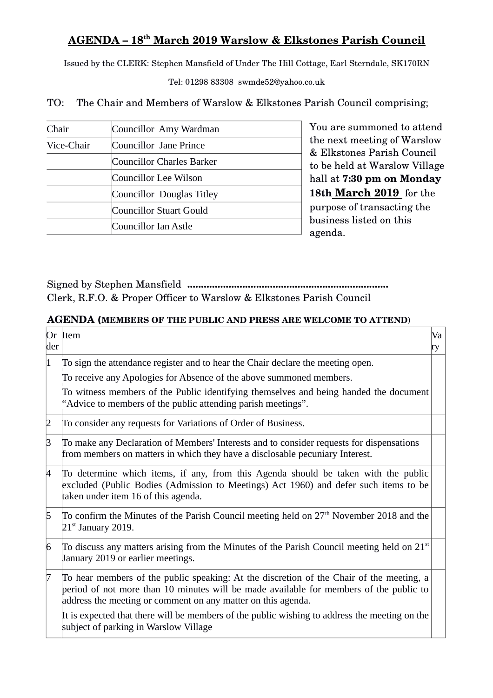## **AGENDA – 18th March 2019 Warslow & Elkstones Parish Council**

Issued by the CLERK: Stephen Mansfield of Under The Hill Cottage, Earl Sterndale, SK170RN

Tel: 01298 83308 swmde52@yahoo.co.uk

TO: The Chair and Members of Warslow & Elkstones Parish Council comprising;

| Chair      | Councillor Amy Wardman    |
|------------|---------------------------|
| Vice-Chair | Councillor Jane Prince    |
|            | Councillor Charles Barker |
|            | Councillor Lee Wilson     |
|            | Councillor Douglas Titley |
|            | Councillor Stuart Gould   |
|            | Councillor Ian Astle      |

You are summoned to attend the next meeting of Warslow & Elkstones Parish Council to be held at Warslow Village hall at **7:30 pm on Monday 18th March 2019**  for the purpose of transacting the business listed on this agenda.

Signed by Stephen Mansfield **.........................................................................** Clerk, R.F.O. & Proper Officer to Warslow & Elkstones Parish Council

## **AGENDA (MEMBERS OF THE PUBLIC AND PRESS ARE WELCOME TO ATTEND)**

| der                                                                                                                                                   | Or Item                                                                                                                                                                                                                                            | Va<br>ry |  |  |
|-------------------------------------------------------------------------------------------------------------------------------------------------------|----------------------------------------------------------------------------------------------------------------------------------------------------------------------------------------------------------------------------------------------------|----------|--|--|
| 1                                                                                                                                                     | To sign the attendance register and to hear the Chair declare the meeting open.                                                                                                                                                                    |          |  |  |
|                                                                                                                                                       | To receive any Apologies for Absence of the above summoned members.                                                                                                                                                                                |          |  |  |
| To witness members of the Public identifying themselves and being handed the document<br>"Advice to members of the public attending parish meetings". |                                                                                                                                                                                                                                                    |          |  |  |
| $\overline{2}$                                                                                                                                        | To consider any requests for Variations of Order of Business.                                                                                                                                                                                      |          |  |  |
| 3                                                                                                                                                     | To make any Declaration of Members' Interests and to consider requests for dispensations<br>from members on matters in which they have a disclosable pecuniary Interest.                                                                           |          |  |  |
| 4                                                                                                                                                     | To determine which items, if any, from this Agenda should be taken with the public<br>excluded (Public Bodies (Admission to Meetings) Act 1960) and defer such items to be<br>taken under item 16 of this agenda.                                  |          |  |  |
| 5                                                                                                                                                     | To confirm the Minutes of the Parish Council meeting held on 27 <sup>th</sup> November 2018 and the<br>$21st$ January 2019.                                                                                                                        |          |  |  |
| 6                                                                                                                                                     | To discuss any matters arising from the Minutes of the Parish Council meeting held on 21 <sup>st</sup><br>January 2019 or earlier meetings.                                                                                                        |          |  |  |
| 7                                                                                                                                                     | To hear members of the public speaking: At the discretion of the Chair of the meeting, a<br>period of not more than 10 minutes will be made available for members of the public to<br>address the meeting or comment on any matter on this agenda. |          |  |  |
|                                                                                                                                                       | It is expected that there will be members of the public wishing to address the meeting on the<br>subject of parking in Warslow Village                                                                                                             |          |  |  |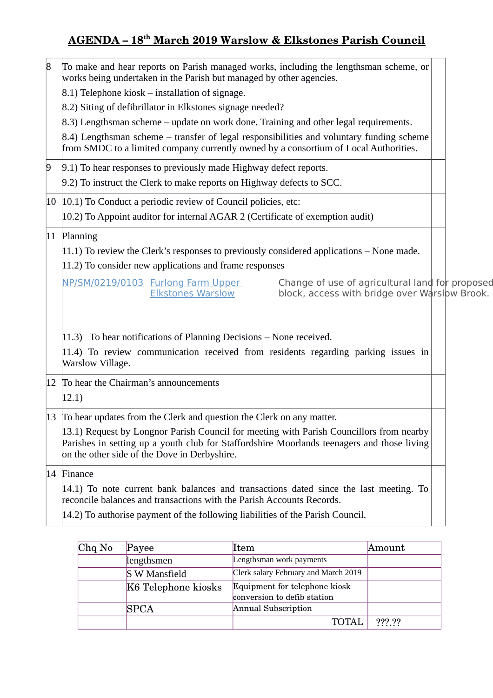## **AGENDA – 18th March 2019 Warslow & Elkstones Parish Council**

| 8 | To make and hear reports on Parish managed works, including the lengthsman scheme, or<br>works being undertaken in the Parish but managed by other agencies.                          |  |
|---|---------------------------------------------------------------------------------------------------------------------------------------------------------------------------------------|--|
|   | $(8.1)$ Telephone kiosk – installation of signage.                                                                                                                                    |  |
|   | 8.2) Siting of defibrillator in Elkstones signage needed?                                                                                                                             |  |
|   | 8.3) Lengthsman scheme – update on work done. Training and other legal requirements.                                                                                                  |  |
|   | $(8.4)$ Lengthsman scheme – transfer of legal responsibilities and voluntary funding scheme<br>from SMDC to a limited company currently owned by a consortium of Local Authorities.   |  |
| 9 | 9.1) To hear responses to previously made Highway defect reports.                                                                                                                     |  |
|   | 9.2) To instruct the Clerk to make reports on Highway defects to SCC.                                                                                                                 |  |
|   | $ 10 $ $ 10.1$ ) To Conduct a periodic review of Council policies, etc:                                                                                                               |  |
|   | $(10.2)$ To Appoint auditor for internal AGAR 2 (Certificate of exemption audit)                                                                                                      |  |
|   | 11 Planning                                                                                                                                                                           |  |
|   | $ 11.1\rangle$ To review the Clerk's responses to previously considered applications – None made.                                                                                     |  |
|   | 11.2) To consider new applications and frame responses                                                                                                                                |  |
|   | Change of use of agricultural land for proposed<br>NP/SM/0219/0103 Furlong Farm Upper                                                                                                 |  |
|   | <b>Elkstones Warslow</b><br>block, access with bridge over Warslow Brook.                                                                                                             |  |
|   |                                                                                                                                                                                       |  |
|   | $ 11.3\rangle$ To hear notifications of Planning Decisions – None received.                                                                                                           |  |
|   | $ 11.4\rangle$ To review communication received from residents regarding parking issues in                                                                                            |  |
|   | Warslow Village.                                                                                                                                                                      |  |
|   | 12 To hear the Chairman's announcements                                                                                                                                               |  |
|   | 12.1)                                                                                                                                                                                 |  |
|   | 13 To hear updates from the Clerk and question the Clerk on any matter.                                                                                                               |  |
|   | 13.1) Request by Longnor Parish Council for meeting with Parish Councillors from nearby<br>Parishes in setting up a youth club for Staffordshire Moorlands teenagers and those living |  |
|   | on the other side of the Dove in Derbyshire.                                                                                                                                          |  |
|   | 14 Finance                                                                                                                                                                            |  |
|   | $ 14.1\rangle$ To note current bank balances and transactions dated since the last meeting. To                                                                                        |  |
|   | reconcile balances and transactions with the Parish Accounts Records.                                                                                                                 |  |
|   | $ 14.2\rangle$ To authorise payment of the following liabilities of the Parish Council.                                                                                               |  |

| $Chq$ No | Payee                | Item                                                         | Amount    |
|----------|----------------------|--------------------------------------------------------------|-----------|
|          | lengthsmen           | Lengthsman work payments                                     |           |
|          | <b>S W Mansfield</b> | Clerk salary February and March 2019                         |           |
|          | K6 Telephone kiosks  | Equipment for telephone kiosk<br>conversion to defib station |           |
|          | <b>SPCA</b>          | Annual Subscription                                          |           |
|          |                      | TOTAI                                                        | $??\, ??$ |